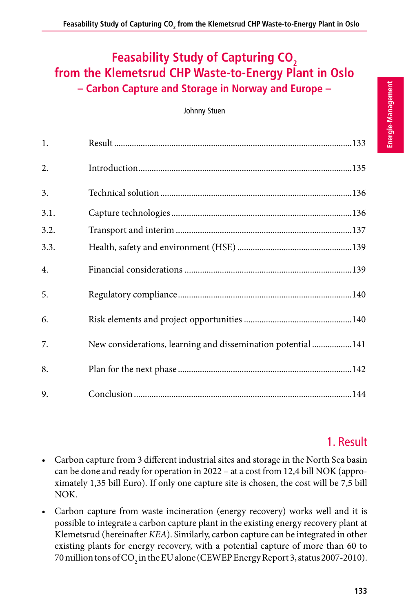# **Feasability Study of Capturing CO<sub>2</sub> from the Klemetsrud CHP Waste-to-Energy Plant in Oslo – Carbon Capture and Storage in Norway and Europe –**

#### Johnny Stuen

| 1.   |                                                              |
|------|--------------------------------------------------------------|
| 2.   |                                                              |
| 3.   |                                                              |
| 3.1. |                                                              |
| 3.2. |                                                              |
| 3.3. |                                                              |
| 4.   |                                                              |
| 5.   |                                                              |
| 6.   |                                                              |
| 7.   | New considerations, learning and dissemination potential 141 |
| 8.   |                                                              |
| 9.   |                                                              |

### 1. Result

- Carbon capture from 3 different industrial sites and storage in the North Sea basin can be done and ready for operation in 2022 – at a cost from 12,4 bill NOK (approximately 1,35 bill Euro). If only one capture site is chosen, the cost will be 7,5 bill NOK.
- Carbon capture from waste incineration (energy recovery) works well and it is possible to integrate a carbon capture plant in the existing energy recovery plant at Klemetsrud (hereinafter *KEA*). Similarly, carbon capture can be integrated in other existing plants for energy recovery, with a potential capture of more than 60 to 70 million tons of CO<sub>2</sub> in the EU alone (CEWEP Energy Report 3, status 2007-2010).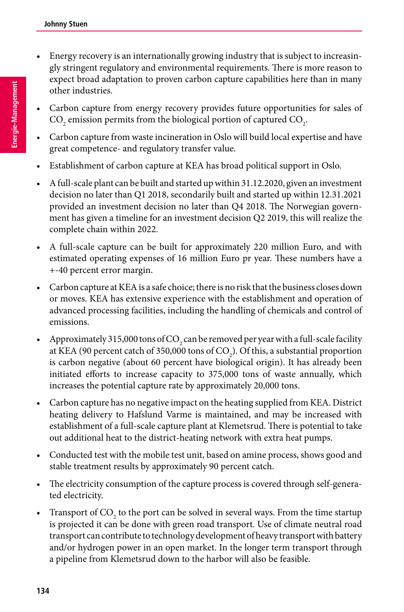- Energy recovery is an internationally growing industry that is subject to increasingly stringent regulatory and environmental requirements. There is more reason to expect broad adaptation to proven carbon capture capabilities here than in many other industries.
- Carbon capture from energy recovery provides future opportunities for sales of  $\mathrm{CO}_2$  emission permits from the biological portion of captured  $\mathrm{CO}_2$ .
- Carbon capture from waste incineration in Oslo will build local expertise and have great competence- and regulatory transfer value.
- Establishment of carbon capture at KEA has broad political support in Oslo.
- A full-scale plant can be built and started up within 31.12.2020, given an investment decision no later than Q1 2018, secondarily built and started up within 12.31.2021 provided an investment decision no later than Q4 2018. The Norwegian government has given a timeline for an investment decision Q2 2019, this will realize the complete chain within 2022.
- A full-scale capture can be built for approximately 220 million Euro, and with estimated operating expenses of 16 million Euro pr year. These numbers have a +-40 percent error margin.
- Carbon capture at KEA is a safe choice; there is no risk that the business closes down or moves. KEA has extensive experience with the establishment and operation of advanced processing facilities, including the handling of chemicals and control of emissions.
- Approximately 315,000 tons of  $\mathrm{CO}_2$  can be removed per year with a full-scale facility at KEA (90 percent catch of 350,000 tons of  $\mathrm{CO}_2$ ). Of this, a substantial proportion is carbon negative (about 60 percent have biological origin). It has already been initiated efforts to increase capacity to 375,000 tons of waste annually, which increases the potential capture rate by approximately 20,000 tons.
- Carbon capture has no negative impact on the heating supplied from KEA. District heating delivery to Hafslund Varme is maintained, and may be increased with establishment of a full-scale capture plant at Klemetsrud. There is potential to take out additional heat to the district-heating network with extra heat pumps.
- Conducted test with the mobile test unit, based on amine process, shows good and stable treatment results by approximately 90 percent catch.
- The electricity consumption of the capture process is covered through self-generated electricity.
- Transport of  $\mathrm{CO}_2$  to the port can be solved in several ways. From the time startup is projected it can be done with green road transport. Use of climate neutral road transport can contribute to technology development of heavy transport with battery and/or hydrogen power in an open market. In the longer term transport through a pipeline from Klemetsrud down to the harbor will also be feasible.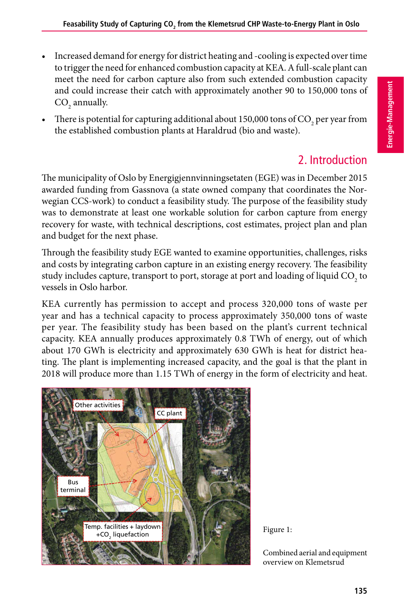- Increased demand for energy for district heating and -cooling is expected over time to trigger the need for enhanced combustion capacity at KEA. A full-scale plant can meet the need for carbon capture also from such extended combustion capacity and could increase their catch with approximately another 90 to 150,000 tons of  $\mathrm{CO}_\mathrm{2}$  annually.
- There is potential for capturing additional about 150,000 tons of  $CO<sub>2</sub>$  per year from the established combustion plants at Haraldrud (bio and waste).

## 2. Introduction

The municipality of Oslo by Energigjennvinningsetaten (EGE) was in December 2015 awarded funding from Gassnova (a state owned company that coordinates the Norwegian CCS-work) to conduct a feasibility study. The purpose of the feasibility study was to demonstrate at least one workable solution for carbon capture from energy recovery for waste, with technical descriptions, cost estimates, project plan and plan and budget for the next phase.

Through the feasibility study EGE wanted to examine opportunities, challenges, risks and costs by integrating carbon capture in an existing energy recovery. The feasibility study includes capture, transport to port, storage at port and loading of liquid  $\mathrm{CO}_2^{}$  to vessels in Oslo harbor.

KEA currently has permission to accept and process 320,000 tons of waste per year and has a technical capacity to process approximately 350,000 tons of waste per year. The feasibility study has been based on the plant's current technical capacity. KEA annually produces approximately 0.8 TWh of energy, out of which about 170 GWh is electricity and approximately 630 GWh is heat for district heating. The plant is implementing increased capacity, and the goal is that the plant in 2018 will produce more than 1.15 TWh of energy in the form of electricity and heat.



Combined aerial and equipment overview on Klemetsrud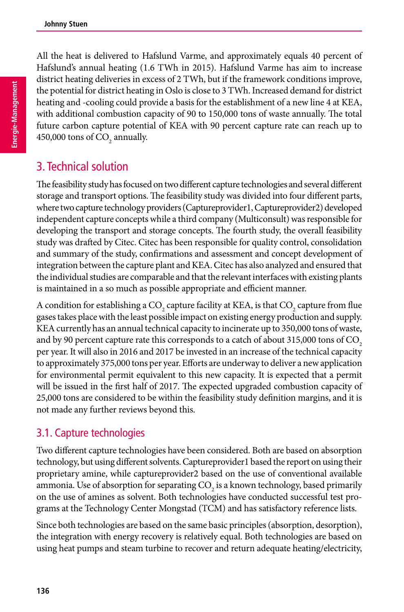All the heat is delivered to Hafslund Varme, and approximately equals 40 percent of Hafslund's annual heating (1.6 TWh in 2015). Hafslund Varme has aim to increase district heating deliveries in excess of 2 TWh, but if the framework conditions improve, the potential for district heating in Oslo is close to 3 TWh. Increased demand for district heating and -cooling could provide a basis for the establishment of a new line 4 at KEA, with additional combustion capacity of 90 to 150,000 tons of waste annually. The total future carbon capture potential of KEA with 90 percent capture rate can reach up to 450,000 tons of  $CO_2$  annually.

# 3. Technical solution

The feasibility study has focused on two different capture technologies and several different storage and transport options. The feasibility study was divided into four different parts, where two capture technology providers (Captureprovider1, Captureprovider2) developed independent capture concepts while a third company (Multiconsult) was responsible for developing the transport and storage concepts. The fourth study, the overall feasibility study was drafted by Citec. Citec has been responsible for quality control, consolidation and summary of the study, confirmations and assessment and concept development of integration between the capture plant and KEA. Citec has also analyzed and ensured that the individual studies are comparable and that the relevant interfaces with existing plants is maintained in a so much as possible appropriate and efficient manner.

A condition for establishing a CO<sub>2</sub> capture facility at KEA, is that CO<sub>2</sub> capture from flue gases takes place with the least possible impact on existing energy production and supply. KEA currently has an annual technical capacity to incinerate up to 350,000 tons of waste, and by 90 percent capture rate this corresponds to a catch of about 315,000 tons of CO<sub>2</sub> per year. It will also in 2016 and 2017 be invested in an increase of the technical capacity to approximately 375,000 tons per year. Efforts are underway to deliver a new application for environmental permit equivalent to this new capacity. It is expected that a permit will be issued in the first half of 2017. The expected upgraded combustion capacity of 25,000 tons are considered to be within the feasibility study definition margins, and it is not made any further reviews beyond this.

### 3.1. Capture technologies

Two different capture technologies have been considered. Both are based on absorption technology, but using different solvents. Captureprovider1 based the report on using their proprietary amine, while captureprovider2 based on the use of conventional available ammonia. Use of absorption for separating  $\mathrm{CO}_2$  is a known technology, based primarily on the use of amines as solvent. Both technologies have conducted successful test programs at the Technology Center Mongstad (TCM) and has satisfactory reference lists.

Since both technologies are based on the same basic principles (absorption, desorption), the integration with energy recovery is relatively equal. Both technologies are based on using heat pumps and steam turbine to recover and return adequate heating/electricity,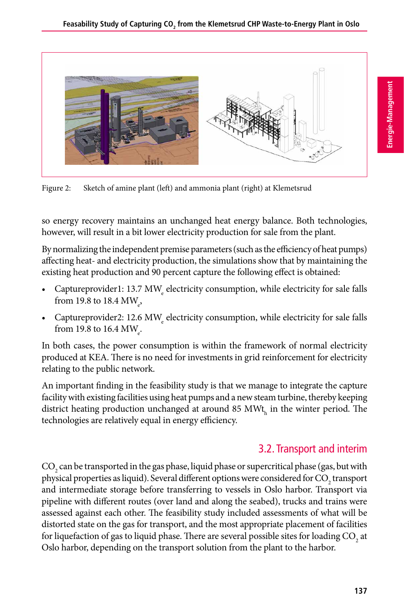

Figure 2: Sketch of amine plant (left) and ammonia plant (right) at Klemetsrud

so energy recovery maintains an unchanged heat energy balance. Both technologies, however, will result in a bit lower electricity production for sale from the plant.

By normalizing the independent premise parameters (such as the efficiency of heat pumps) affecting heat- and electricity production, the simulations show that by maintaining the existing heat production and 90 percent capture the following effect is obtained:

- Capture provider  $1: 13.7 \text{ MW}$ <sub>e</sub> electricity consumption, while electricity for sale falls from 19.8 to 18.4 MW<sub>e</sub>,
- Capture provider 2: 12.6 MW<sub>e</sub> electricity consumption, while electricity for sale falls from 19.8 to 16.4 MW<sub>e</sub>.

In both cases, the power consumption is within the framework of normal electricity produced at KEA. There is no need for investments in grid reinforcement for electricity relating to the public network.

An important finding in the feasibility study is that we manage to integrate the capture facility with existing facilities using heat pumps and a new steam turbine, thereby keeping district heating production unchanged at around 85  $\text{MW}_{\text{h}}$  in the winter period. The technologies are relatively equal in energy efficiency.

#### 3.2. Transport and interim

 $\mathrm{CO}_2$  can be transported in the gas phase, liquid phase or supercritical phase (gas, but with physical properties as liquid). Several different options were considered for  $\mathrm{CO}_2$  transport and intermediate storage before transferring to vessels in Oslo harbor. Transport via pipeline with different routes (over land and along the seabed), trucks and trains were assessed against each other. The feasibility study included assessments of what will be distorted state on the gas for transport, and the most appropriate placement of facilities for liquefaction of gas to liquid phase. There are several possible sites for loading  $\mathrm{CO}_2^{\vphantom{\dagger}}$  at Oslo harbor, depending on the transport solution from the plant to the harbor.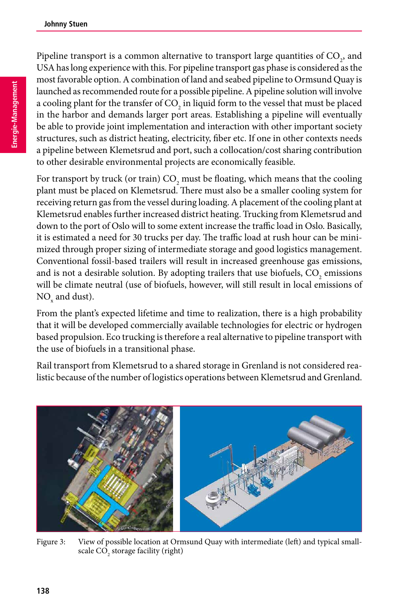Pipeline transport is a common alternative to transport large quantities of  $\mathrm{CO}_2^{}$ , and USA has long experience with this. For pipeline transport gas phase is considered as the most favorable option. A combination of land and seabed pipeline to Ormsund Quay is launched as recommended route for a possible pipeline. A pipeline solution will involve a cooling plant for the transfer of  $CO_2$  in liquid form to the vessel that must be placed in the harbor and demands larger port areas. Establishing a pipeline will eventually be able to provide joint implementation and interaction with other important society structures, such as district heating, electricity, fiber etc. If one in other contexts needs a pipeline between Klemetsrud and port, such a collocation/cost sharing contribution to other desirable environmental projects are economically feasible.

For transport by truck (or train)  $CO_2$  must be floating, which means that the cooling plant must be placed on Klemetsrud. There must also be a smaller cooling system for receiving return gas from the vessel during loading. A placement of the cooling plant at Klemetsrud enables further increased district heating. Trucking from Klemetsrud and down to the port of Oslo will to some extent increase the traffic load in Oslo. Basically, it is estimated a need for 30 trucks per day. The traffic load at rush hour can be minimized through proper sizing of intermediate storage and good logistics management. Conventional fossil-based trailers will result in increased greenhouse gas emissions, and is not a desirable solution. By adopting trailers that use biofuels,  $CO_2$  emissions will be climate neutral (use of biofuels, however, will still result in local emissions of  $NO<sub>x</sub>$  and dust).

From the plant's expected lifetime and time to realization, there is a high probability that it will be developed commercially available technologies for electric or hydrogen based propulsion. Eco trucking is therefore a real alternative to pipeline transport with the use of biofuels in a transitional phase.

Rail transport from Klemetsrud to a shared storage in Grenland is not considered realistic because of the number of logistics operations between Klemetsrud and Grenland.



Figure 3: View of possible location at Ormsund Quay with intermediate (left) and typical smallscale  $\text{CO}_2$  storage facility (right)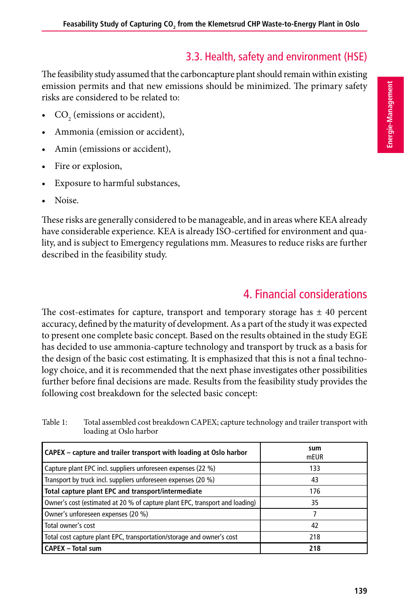## 3.3. Health, safety and environment (HSE)

The feasibility study assumed that the carboncapture plant should remain within existing emission permits and that new emissions should be minimized. The primary safety risks are considered to be related to:

- $CO<sub>2</sub>$  (emissions or accident),
- Ammonia (emission or accident),
- Amin (emissions or accident),
- Fire or explosion,
- Exposure to harmful substances,
- Noise.

These risks are generally considered to be manageable, and in areas where KEA already have considerable experience. KEA is already ISO-certified for environment and quality, and is subject to Emergency regulations mm. Measures to reduce risks are further described in the feasibility study.

## 4. Financial considerations

The cost-estimates for capture, transport and temporary storage has  $\pm$  40 percent accuracy, defined by the maturity of development. As a part of the study it was expected to present one complete basic concept. Based on the results obtained in the study EGE has decided to use ammonia-capture technology and transport by truck as a basis for the design of the basic cost estimating. It is emphasized that this is not a final technology choice, and it is recommended that the next phase investigates other possibilities further before final decisions are made. Results from the feasibility study provides the following cost breakdown for the selected basic concept:

| Table 1: | Total assembled cost breakdown CAPEX; capture technology and trailer transport with |
|----------|-------------------------------------------------------------------------------------|
|          | loading at Oslo harbor                                                              |

| CAPEX – capture and trailer transport with loading at Oslo harbor            | sum<br>mEUR |
|------------------------------------------------------------------------------|-------------|
| Capture plant EPC incl. suppliers unforeseen expenses (22 %)                 | 133         |
| Transport by truck incl. suppliers unforeseen expenses (20 %)                | 43          |
| Total capture plant EPC and transport/intermediate                           | 176         |
| Owner's cost (estimated at 20 % of capture plant EPC, transport and loading) | 35          |
| Owner's unforeseen expenses (20 %)                                           |             |
| Total owner's cost                                                           | 42          |
| Total cost capture plant EPC, transportation/storage and owner's cost        | 218         |
| <b>CAPEX - Total sum</b>                                                     | 218         |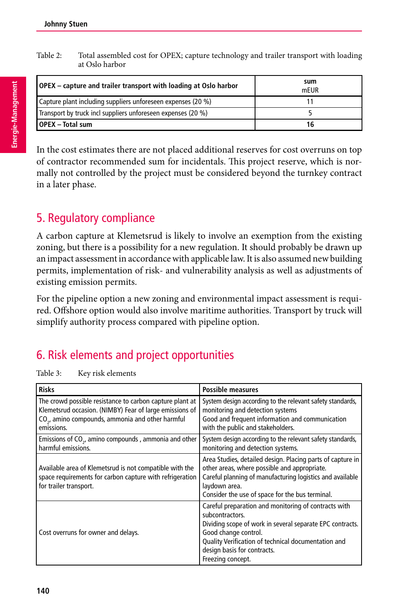| Table 2: | Total assembled cost for OPEX; capture technology and trailer transport with loading |
|----------|--------------------------------------------------------------------------------------|
|          | at Oslo harbor                                                                       |

| OPEX – capture and trailer transport with loading at Oslo harbor | sum<br>mEUR |
|------------------------------------------------------------------|-------------|
| Capture plant including suppliers unforeseen expenses (20 %)     |             |
| Transport by truck incl suppliers unforeseen expenses (20 %)     |             |
| <b>LOPEX</b> - Total sum                                         |             |

In the cost estimates there are not placed additional reserves for cost overruns on top of contractor recommended sum for incidentals. This project reserve, which is normally not controlled by the project must be considered beyond the turnkey contract in a later phase.

## 5. Regulatory compliance

A carbon capture at Klemetsrud is likely to involve an exemption from the existing zoning, but there is a possibility for a new regulation. It should probably be drawn up an impact assessment in accordance with applicable law. It is also assumed new building permits, implementation of risk- and vulnerability analysis as well as adjustments of existing emission permits.

For the pipeline option a new zoning and environmental impact assessment is required. Offshore option would also involve maritime authorities. Transport by truck will simplify authority process compared with pipeline option.

# 6. Risk elements and project opportunities

| Table 3: | Key risk elements |
|----------|-------------------|
|----------|-------------------|

| <b>Risks</b>                                                                                                                                                                                      | <b>Possible measures</b>                                                                                                                                                                                                                                                |
|---------------------------------------------------------------------------------------------------------------------------------------------------------------------------------------------------|-------------------------------------------------------------------------------------------------------------------------------------------------------------------------------------------------------------------------------------------------------------------------|
| The crowd possible resistance to carbon capture plant at<br>Klemetsrud occasion. (NIMBY) Fear of large emissions of<br>CO <sub>2</sub> , amino compounds, ammonia and other harmful<br>emissions. | System design according to the relevant safety standards,<br>monitoring and detection systems<br>Good and frequent information and communication<br>with the public and stakeholders.                                                                                   |
| Emissions of $CO2$ , amino compounds, ammonia and other<br>harmful emissions.                                                                                                                     | System design according to the relevant safety standards,<br>monitoring and detection systems.                                                                                                                                                                          |
| Available area of Klemetsrud is not compatible with the<br>space requirements for carbon capture with refrigeration<br>for trailer transport.                                                     | Area Studies, detailed design. Placing parts of capture in<br>other areas, where possible and appropriate.<br>Careful planning of manufacturing logistics and available<br>laydown area.<br>Consider the use of space for the bus terminal.                             |
| Cost overruns for owner and delays.                                                                                                                                                               | Careful preparation and monitoring of contracts with<br>subcontractors.<br>Dividing scope of work in several separate EPC contracts.<br>Good change control.<br>Quality Verification of technical documentation and<br>design basis for contracts.<br>Freezing concept. |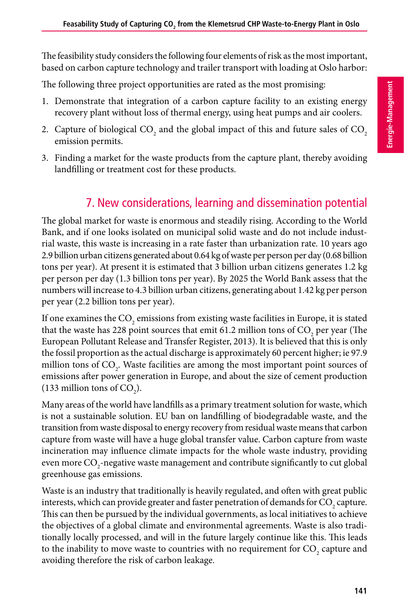The feasibility study considers the following four elements of risk as the most important, based on carbon capture technology and trailer transport with loading at Oslo harbor:

The following three project opportunities are rated as the most promising:

- 1. Demonstrate that integration of a carbon capture facility to an existing energy recovery plant without loss of thermal energy, using heat pumps and air coolers.
- 2. Capture of biological CO<sub>2</sub> and the global impact of this and future sales of CO<sub>2</sub> emission permits.
- 3. Finding a market for the waste products from the capture plant, thereby avoiding landfilling or treatment cost for these products.

## 7. New considerations, learning and dissemination potential

The global market for waste is enormous and steadily rising. According to the World Bank, and if one looks isolated on municipal solid waste and do not include industrial waste, this waste is increasing in a rate faster than urbanization rate. 10 years ago 2.9 billion urban citizens generated about 0.64 kg of waste per person per day (0.68 billion tons per year). At present it is estimated that 3 billion urban citizens generates 1.2 kg per person per day (1.3 billion tons per year). By 2025 the World Bank assess that the numbers will increase to 4.3 billion urban citizens, generating about 1.42 kg per person per year (2.2 billion tons per year).

If one examines the  $\mathrm{CO}_2$  emissions from existing waste facilities in Europe, it is stated that the waste has 228 point sources that emit 61.2 million tons of  $\mathrm{CO}_2$  per year (The European Pollutant Release and Transfer Register, 2013). It is believed that this is only the fossil proportion as the actual discharge is approximately 60 percent higher; ie 97.9 million tons of  $CO_2$ . Waste facilities are among the most important point sources of emissions after power generation in Europe, and about the size of cement production (133 million tons of  $CO<sub>2</sub>$ ).

Many areas of the world have landfills as a primary treatment solution for waste, which is not a sustainable solution. EU ban on landfilling of biodegradable waste, and the transition from waste disposal to energy recovery from residual waste means that carbon capture from waste will have a huge global transfer value. Carbon capture from waste incineration may influence climate impacts for the whole waste industry, providing even more  $\mathrm{CO}_2$ -negative waste management and contribute significantly to cut global greenhouse gas emissions.

Waste is an industry that traditionally is heavily regulated, and often with great public interests, which can provide greater and faster penetration of demands for  $\mathrm{CO}_\mathrm{2}$  capture. This can then be pursued by the individual governments, as local initiatives to achieve the objectives of a global climate and environmental agreements. Waste is also traditionally locally processed, and will in the future largely continue like this. This leads to the inability to move waste to countries with no requirement for  $\mathrm{CO}_\mathrm{2}$  capture and avoiding therefore the risk of carbon leakage.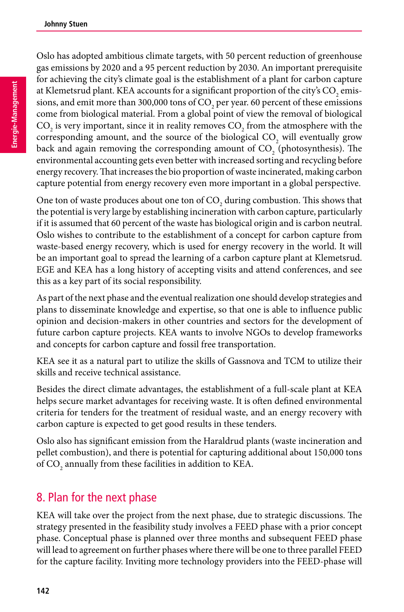Oslo has adopted ambitious climate targets, with 50 percent reduction of greenhouse gas emissions by 2020 and a 95 percent reduction by 2030. An important prerequisite for achieving the city's climate goal is the establishment of a plant for carbon capture at Klemetsrud plant. KEA accounts for a significant proportion of the city's  $CO<sub>2</sub>$  emissions, and emit more than 300,000 tons of  $\mathrm{CO}_2$  per year. 60 percent of these emissions come from biological material. From a global point of view the removal of biological  $\text{CO}_2$  is very important, since it in reality removes  $\text{CO}_2$  from the atmosphere with the corresponding amount, and the source of the biological  $CO_2$  will eventually grow back and again removing the corresponding amount of  $\mathrm{CO}_2$  (photosynthesis). The environmental accounting gets even better with increased sorting and recycling before energy recovery. That increases the bio proportion of waste incinerated, making carbon capture potential from energy recovery even more important in a global perspective.

One ton of waste produces about one ton of  $CO<sub>2</sub>$  during combustion. This shows that the potential is very large by establishing incineration with carbon capture, particularly if it is assumed that 60 percent of the waste has biological origin and is carbon neutral. Oslo wishes to contribute to the establishment of a concept for carbon capture from waste-based energy recovery, which is used for energy recovery in the world. It will be an important goal to spread the learning of a carbon capture plant at Klemetsrud. EGE and KEA has a long history of accepting visits and attend conferences, and see this as a key part of its social responsibility.

As part of the next phase and the eventual realization one should develop strategies and plans to disseminate knowledge and expertise, so that one is able to influence public opinion and decision-makers in other countries and sectors for the development of future carbon capture projects. KEA wants to involve NGOs to develop frameworks and concepts for carbon capture and fossil free transportation.

KEA see it as a natural part to utilize the skills of Gassnova and TCM to utilize their skills and receive technical assistance.

Besides the direct climate advantages, the establishment of a full-scale plant at KEA helps secure market advantages for receiving waste. It is often defined environmental criteria for tenders for the treatment of residual waste, and an energy recovery with carbon capture is expected to get good results in these tenders.

Oslo also has significant emission from the Haraldrud plants (waste incineration and pellet combustion), and there is potential for capturing additional about 150,000 tons of  $\mathrm{CO}_2$  annually from these facilities in addition to KEA.

## 8. Plan for the next phase

KEA will take over the project from the next phase, due to strategic discussions. The strategy presented in the feasibility study involves a FEED phase with a prior concept phase. Conceptual phase is planned over three months and subsequent FEED phase will lead to agreement on further phases where there will be one to three parallel FEED for the capture facility. Inviting more technology providers into the FEED-phase will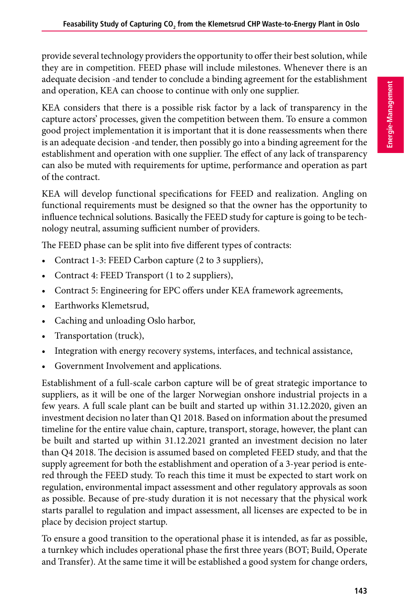provide several technology providers the opportunity to offer their best solution, while they are in competition. FEED phase will include milestones. Whenever there is an adequate decision -and tender to conclude a binding agreement for the establishment and operation, KEA can choose to continue with only one supplier.

KEA considers that there is a possible risk factor by a lack of transparency in the capture actors' processes, given the competition between them. To ensure a common good project implementation it is important that it is done reassessments when there is an adequate decision -and tender, then possibly go into a binding agreement for the establishment and operation with one supplier. The effect of any lack of transparency can also be muted with requirements for uptime, performance and operation as part of the contract.

KEA will develop functional specifications for FEED and realization. Angling on functional requirements must be designed so that the owner has the opportunity to influence technical solutions. Basically the FEED study for capture is going to be technology neutral, assuming sufficient number of providers.

The FEED phase can be split into five different types of contracts:

- Contract 1-3: FEED Carbon capture (2 to 3 suppliers),
- Contract 4: FEED Transport (1 to 2 suppliers),
- Contract 5: Engineering for EPC offers under KEA framework agreements,
- Earthworks Klemetsrud,
- Caching and unloading Oslo harbor,
- Transportation (truck),
- Integration with energy recovery systems, interfaces, and technical assistance,
- Government Involvement and applications.

Establishment of a full-scale carbon capture will be of great strategic importance to suppliers, as it will be one of the larger Norwegian onshore industrial projects in a few years. A full scale plant can be built and started up within 31.12.2020, given an investment decision no later than Q1 2018. Based on information about the presumed timeline for the entire value chain, capture, transport, storage, however, the plant can be built and started up within 31.12.2021 granted an investment decision no later than Q4 2018. The decision is assumed based on completed FEED study, and that the supply agreement for both the establishment and operation of a 3-year period is entered through the FEED study. To reach this time it must be expected to start work on regulation, environmental impact assessment and other regulatory approvals as soon as possible. Because of pre-study duration it is not necessary that the physical work starts parallel to regulation and impact assessment, all licenses are expected to be in place by decision project startup.

To ensure a good transition to the operational phase it is intended, as far as possible, a turnkey which includes operational phase the first three years (BOT; Build, Operate and Transfer). At the same time it will be established a good system for change orders,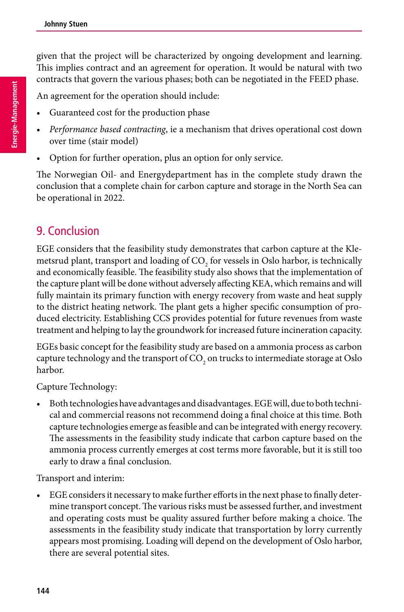given that the project will be characterized by ongoing development and learning. This implies contract and an agreement for operation. It would be natural with two contracts that govern the various phases; both can be negotiated in the FEED phase.

An agreement for the operation should include:

- Guaranteed cost for the production phase
- *Performance based contracting*, ie a mechanism that drives operational cost down over time (stair model)
- Option for further operation, plus an option for only service.

The Norwegian Oil- and Energydepartment has in the complete study drawn the conclusion that a complete chain for carbon capture and storage in the North Sea can be operational in 2022.

# 9. Conclusion

EGE considers that the feasibility study demonstrates that carbon capture at the Klemetsrud plant, transport and loading of  $\mathrm{CO}_2$  for vessels in Oslo harbor, is technically and economically feasible. The feasibility study also shows that the implementation of the capture plant will be done without adversely affecting KEA, which remains and will fully maintain its primary function with energy recovery from waste and heat supply to the district heating network. The plant gets a higher specific consumption of produced electricity. Establishing CCS provides potential for future revenues from waste treatment and helping to lay the groundwork for increased future incineration capacity.

EGEs basic concept for the feasibility study are based on a ammonia process as carbon capture technology and the transport of CO<sub>2</sub> on trucks to intermediate storage at Oslo harbor.

Capture Technology:

• Both technologies have advantages and disadvantages. EGE will, due to both technical and commercial reasons not recommend doing a final choice at this time. Both capture technologies emerge as feasible and can be integrated with energy recovery. The assessments in the feasibility study indicate that carbon capture based on the ammonia process currently emerges at cost terms more favorable, but it is still too early to draw a final conclusion.

Transport and interim:

• EGE considers it necessary to make further efforts in the next phase to finally determine transport concept. The various risks must be assessed further, and investment and operating costs must be quality assured further before making a choice. The assessments in the feasibility study indicate that transportation by lorry currently appears most promising. Loading will depend on the development of Oslo harbor, there are several potential sites.